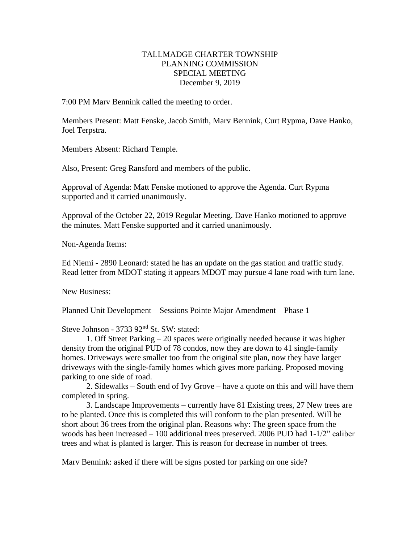## TALLMADGE CHARTER TOWNSHIP PLANNING COMMISSION SPECIAL MEETING December 9, 2019

7:00 PM Marv Bennink called the meeting to order.

Members Present: Matt Fenske, Jacob Smith, Marv Bennink, Curt Rypma, Dave Hanko, Joel Terpstra.

Members Absent: Richard Temple.

Also, Present: Greg Ransford and members of the public.

Approval of Agenda: Matt Fenske motioned to approve the Agenda. Curt Rypma supported and it carried unanimously.

Approval of the October 22, 2019 Regular Meeting. Dave Hanko motioned to approve the minutes. Matt Fenske supported and it carried unanimously.

Non-Agenda Items:

Ed Niemi - 2890 Leonard: stated he has an update on the gas station and traffic study. Read letter from MDOT stating it appears MDOT may pursue 4 lane road with turn lane.

New Business:

Planned Unit Development – Sessions Pointe Major Amendment – Phase 1

Steve Johnson - 3733 92<sup>nd</sup> St. SW: stated:

1. Off Street Parking – 20 spaces were originally needed because it was higher density from the original PUD of 78 condos, now they are down to 41 single-family homes. Driveways were smaller too from the original site plan, now they have larger driveways with the single-family homes which gives more parking. Proposed moving parking to one side of road.

2. Sidewalks – South end of Ivy Grove – have a quote on this and will have them completed in spring.

3. Landscape Improvements – currently have 81 Existing trees, 27 New trees are to be planted. Once this is completed this will conform to the plan presented. Will be short about 36 trees from the original plan. Reasons why: The green space from the woods has been increased – 100 additional trees preserved. 2006 PUD had 1-1/2" caliber trees and what is planted is larger. This is reason for decrease in number of trees.

Marv Bennink: asked if there will be signs posted for parking on one side?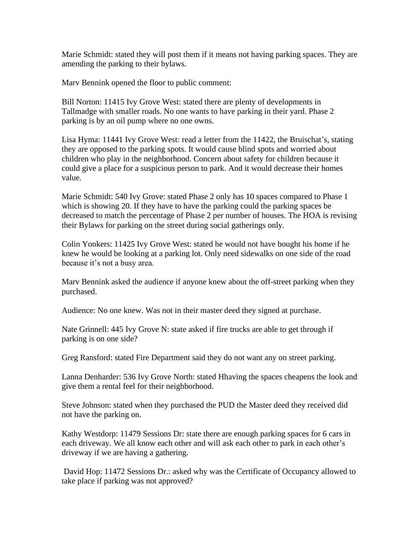Marie Schmidt: stated they will post them if it means not having parking spaces. They are amending the parking to their bylaws.

Marv Bennink opened the floor to public comment:

Bill Norton: 11415 Ivy Grove West: stated there are plenty of developments in Tallmadge with smaller roads. No one wants to have parking in their yard. Phase 2 parking is by an oil pump where no one owns.

Lisa Hyma: 11441 Ivy Grove West: read a letter from the 11422, the Bruischat's, stating they are opposed to the parking spots. It would cause blind spots and worried about children who play in the neighborhood. Concern about safety for children because it could give a place for a suspicious person to park. And it would decrease their homes value.

Marie Schmidt: 540 Ivy Grove: stated Phase 2 only has 10 spaces compared to Phase 1 which is showing 20. If they have to have the parking could the parking spaces be decreased to match the percentage of Phase 2 per number of houses. The HOA is revising their Bylaws for parking on the street during social gatherings only.

Colin Yonkers: 11425 Ivy Grove West: stated he would not have bought his home if he knew he would be looking at a parking lot. Only need sidewalks on one side of the road because it's not a busy area.

Marv Bennink asked the audience if anyone knew about the off-street parking when they purchased.

Audience: No one knew. Was not in their master deed they signed at purchase.

Nate Grinnell: 445 Ivy Grove N: state asked if fire trucks are able to get through if parking is on one side?

Greg Ransford: stated Fire Department said they do not want any on street parking.

Lanna Denharder: 536 Ivy Grove North: stated Hhaving the spaces cheapens the look and give them a rental feel for their neighborhood.

Steve Johnson: stated when they purchased the PUD the Master deed they received did not have the parking on.

Kathy Westdorp: 11479 Sessions Dr: state there are enough parking spaces for 6 cars in each driveway. We all know each other and will ask each other to park in each other's driveway if we are having a gathering.

David Hop: 11472 Sessions Dr.: asked why was the Certificate of Occupancy allowed to take place if parking was not approved?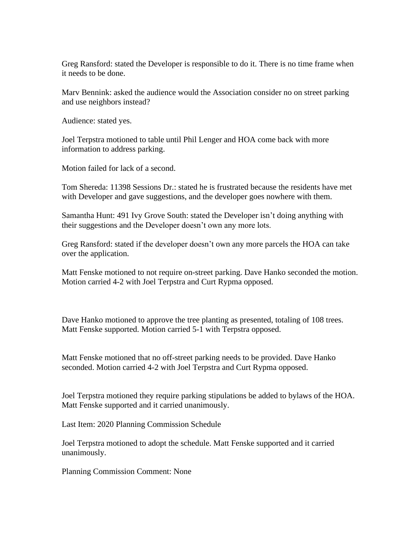Greg Ransford: stated the Developer is responsible to do it. There is no time frame when it needs to be done.

Marv Bennink: asked the audience would the Association consider no on street parking and use neighbors instead?

Audience: stated yes.

Joel Terpstra motioned to table until Phil Lenger and HOA come back with more information to address parking.

Motion failed for lack of a second.

Tom Shereda: 11398 Sessions Dr.: stated he is frustrated because the residents have met with Developer and gave suggestions, and the developer goes nowhere with them.

Samantha Hunt: 491 Ivy Grove South: stated the Developer isn't doing anything with their suggestions and the Developer doesn't own any more lots.

Greg Ransford: stated if the developer doesn't own any more parcels the HOA can take over the application.

Matt Fenske motioned to not require on-street parking. Dave Hanko seconded the motion. Motion carried 4-2 with Joel Terpstra and Curt Rypma opposed.

Dave Hanko motioned to approve the tree planting as presented, totaling of 108 trees. Matt Fenske supported. Motion carried 5-1 with Terpstra opposed.

Matt Fenske motioned that no off-street parking needs to be provided. Dave Hanko seconded. Motion carried 4-2 with Joel Terpstra and Curt Rypma opposed.

Joel Terpstra motioned they require parking stipulations be added to bylaws of the HOA. Matt Fenske supported and it carried unanimously.

Last Item: 2020 Planning Commission Schedule

Joel Terpstra motioned to adopt the schedule. Matt Fenske supported and it carried unanimously.

Planning Commission Comment: None